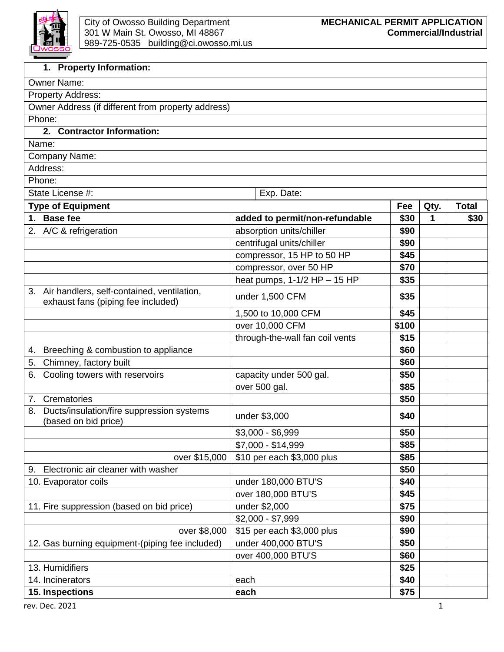

| 1. Property Information:                                                            |                                 |       |      |              |  |  |
|-------------------------------------------------------------------------------------|---------------------------------|-------|------|--------------|--|--|
| Owner Name:                                                                         |                                 |       |      |              |  |  |
| Property Address:                                                                   |                                 |       |      |              |  |  |
| Owner Address (if different from property address)                                  |                                 |       |      |              |  |  |
| Phone:                                                                              |                                 |       |      |              |  |  |
| 2. Contractor Information:                                                          |                                 |       |      |              |  |  |
| Name:                                                                               |                                 |       |      |              |  |  |
| Company Name:                                                                       |                                 |       |      |              |  |  |
| Address:                                                                            |                                 |       |      |              |  |  |
| Phone:                                                                              |                                 |       |      |              |  |  |
| State License #:                                                                    | Exp. Date:                      |       |      |              |  |  |
| <b>Type of Equipment</b>                                                            |                                 | Fee   | Qty. | <b>Total</b> |  |  |
| 1. Base fee                                                                         | added to permit/non-refundable  | \$30  | 1    | \$30         |  |  |
| 2. A/C & refrigeration                                                              | absorption units/chiller        | \$90  |      |              |  |  |
|                                                                                     | centrifugal units/chiller       | \$90  |      |              |  |  |
|                                                                                     | compressor, 15 HP to 50 HP      | \$45  |      |              |  |  |
|                                                                                     | compressor, over 50 HP          | \$70  |      |              |  |  |
|                                                                                     | heat pumps, $1-1/2$ HP - 15 HP  | \$35  |      |              |  |  |
| 3. Air handlers, self-contained, ventilation,<br>exhaust fans (piping fee included) | under 1,500 CFM                 | \$35  |      |              |  |  |
|                                                                                     | 1,500 to 10,000 CFM             | \$45  |      |              |  |  |
|                                                                                     | over 10,000 CFM                 | \$100 |      |              |  |  |
|                                                                                     | through-the-wall fan coil vents | \$15  |      |              |  |  |
| 4. Breeching & combustion to appliance                                              |                                 | \$60  |      |              |  |  |
| Chimney, factory built<br>5.                                                        |                                 | \$60  |      |              |  |  |
| Cooling towers with reservoirs<br>6.                                                | capacity under 500 gal.         | \$50  |      |              |  |  |
|                                                                                     | over 500 gal.                   | \$85  |      |              |  |  |
| 7. Crematories                                                                      |                                 | \$50  |      |              |  |  |
| Ducts/insulation/fire suppression systems<br>8.<br>(based on bid price)             | under \$3,000                   | \$40  |      |              |  |  |
|                                                                                     | $$3,000 - $6,999$               | \$50  |      |              |  |  |
|                                                                                     | \$7,000 - \$14,999              | \$85  |      |              |  |  |
| over \$15,000                                                                       | \$10 per each \$3,000 plus      | \$85  |      |              |  |  |
| Electronic air cleaner with washer<br>9.                                            |                                 | \$50  |      |              |  |  |
| 10. Evaporator coils                                                                | under 180,000 BTU'S             | \$40  |      |              |  |  |
|                                                                                     | over 180,000 BTU'S              | \$45  |      |              |  |  |
| 11. Fire suppression (based on bid price)                                           | under \$2,000                   | \$75  |      |              |  |  |
|                                                                                     | $$2,000 - $7,999$               | \$90  |      |              |  |  |
| over \$8,000                                                                        | \$15 per each \$3,000 plus      | \$90  |      |              |  |  |
| 12. Gas burning equipment-(piping fee included)                                     | under 400,000 BTU'S             | \$50  |      |              |  |  |
|                                                                                     | over 400,000 BTU'S              | \$60  |      |              |  |  |
| 13. Humidifiers                                                                     |                                 | \$25  |      |              |  |  |
| 14. Incinerators                                                                    | each                            | \$40  |      |              |  |  |
| 15. Inspections                                                                     | each                            | \$75  |      |              |  |  |